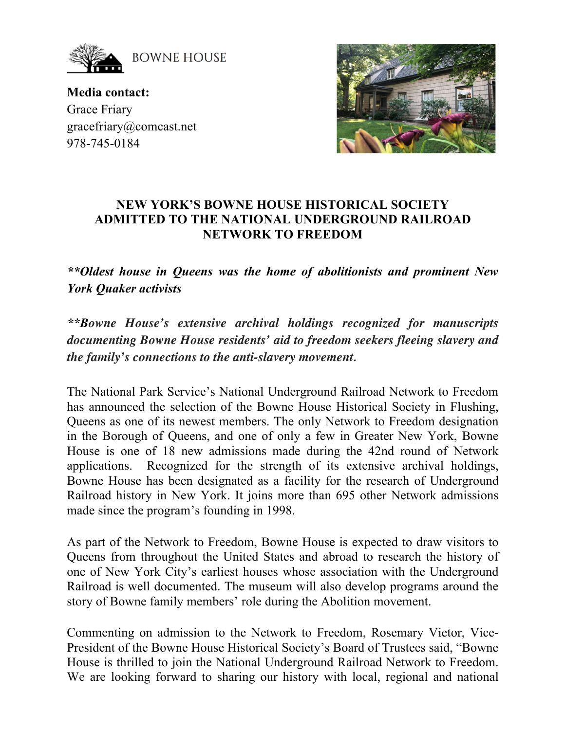

**BOWNE HOUSE** 

**Media contact:** Grace Friary gracefriary@comcast.net 978-745-0184



## **NEW YORK'S BOWNE HOUSE HISTORICAL SOCIETY ADMITTED TO THE NATIONAL UNDERGROUND RAILROAD NETWORK TO FREEDOM**

*\*\*Oldest house in Queens was the home of abolitionists and prominent New York Quaker activists* 

*\*\*Bowne House's extensive archival holdings recognized for manuscripts documenting Bowne House residents' aid to freedom seekers fleeing slavery and the family's connections to the anti-slavery movement.*

The National Park Service's National Underground Railroad Network to Freedom has announced the selection of the Bowne House Historical Society in Flushing, Queens as one of its newest members. The only Network to Freedom designation in the Borough of Queens, and one of only a few in Greater New York, Bowne House is one of 18 new admissions made during the 42nd round of Network applications. Recognized for the strength of its extensive archival holdings, Bowne House has been designated as a facility for the research of Underground Railroad history in New York. It joins more than 695 other Network admissions made since the program's founding in 1998.

As part of the Network to Freedom, Bowne House is expected to draw visitors to Queens from throughout the United States and abroad to research the history of one of New York City's earliest houses whose association with the Underground Railroad is well documented. The museum will also develop programs around the story of Bowne family members' role during the Abolition movement.

Commenting on admission to the Network to Freedom, Rosemary Vietor, Vice-President of the Bowne House Historical Society's Board of Trustees said, "Bowne House is thrilled to join the National Underground Railroad Network to Freedom. We are looking forward to sharing our history with local, regional and national